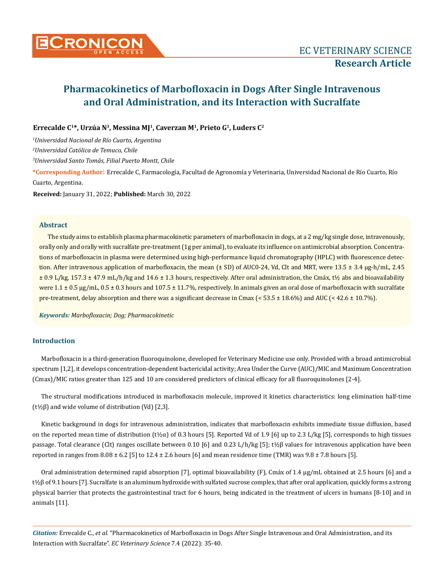

# **Pharmacokinetics of Marbofloxacin in Dogs After Single Intravenous and Oral Administration, and its Interaction with Sucralfate**

# **Errecalde C1\*, Urzúa N3, Messina MJ1, Caverzan M1, Prieto G1, Luders C<sup>2</sup>**

*1 Universidad Nacional de Río Cuarto, Argentina*

*2 Universidad Católica de Temuco, Chile*

*3 Universidad Santo Tomás, Filial Puerto Montt, Chile*

**\*Corresponding Author**: Errecalde C, Farmacología, Facultad de Agronomía y Veterinaria, Universidad Nacional de Río Cuarto, Río Cuarto, Argentina.

**Received:** January 31, 2022; **Published:** March 30, 2022

# **Abstract**

The study aims to establish plasma pharmacokinetic parameters of marbofloxacin in dogs, at a 2 mg/kg single dose, intravenously, orally only and orally with sucralfate pre-treatment (1g per animal), to evaluate its influence on antimicrobial absorption. Concentrations of marbofloxacin in plasma were determined using high-performance liquid chromatography (HPLC) with fluorescence detection. After intravenous application of marbofloxacin, the mean ( $\pm$  SD) of AUC0-24, Vd, Clt and MRT, were 13.5  $\pm$  3.4 µg-h/mL, 2.45 ± 0.9 L/kg, 157.3 ± 47.9 mL/h/kg and 14.6 ± 1.3 hours, respectively. After oral administration, the Cmáx, t½ abs and bioavailability were  $1.1 \pm 0.5 \,\mu$ g/mL, 0.5  $\pm$  0.3 hours and 107.5  $\pm$  11.7%, respectively. In animals given an oral dose of marbofloxacin with sucralfate pre-treatment, delay absorption and there was a significant decrease in Cmax ( $\leq 53.5 \pm 18.6\%$ ) and AUC ( $\leq 42.6 \pm 10.7\%$ ).

*Keywords: Marbofloxacin; Dog; Pharmacokinetic*

# **Introduction**

Marbofloxacin is a third-generation fluoroquinolone, developed for Veterinary Medicine use only. Provided with a broad antimicrobial spectrum [1,2], it develops concentration-dependent bactericidal activity; Area Under the Curve (AUC)/MIC and Maximum Concentration (Cmax)/MIC ratios greater than 125 and 10 are considered predictors of clinical efficacy for all fluoroquinolones [2-4].

The structural modifications introduced in marbofloxacin molecule, improved it kinetics characteristics: long elimination half-time (t½β) and wide volume of distribution (Vd) [2,3].

Kinetic background in dogs for intravenous administration, indicates that marbofloxacin exhibits immediate tissue diffusion, based on the reported mean time of distribution (t½ $\alpha$ ) of 0.3 hours [5]. Reported Vd of 1.9 [6] up to 2.3 L/kg [5], corresponds to high tissues passage. Total clearance (Clt) ranges oscillate between 0.10 [6] and 0.23 L/h/kg [5]; t½β values for intravenous application have been reported in ranges from  $8.08 \pm 6.2$  [5] to 12.4  $\pm$  2.6 hours [6] and mean residence time (TMR) was  $9.8 \pm 7.8$  hours [5].

Oral administration determined rapid absorption [7], optimal bioavailability (F), Cmáx of 1.4 µg/mL obtained at 2.5 hours [6] and a t½β of 9.1 hours [7]. Sucralfate is an aluminum hydroxide with sulfated sucrose complex, that after oral application, quickly forms a strong physical barrier that protects the gastrointestinal tract for 6 hours, being indicated in the treatment of ulcers in humans [8-10] and in animals [11].

*Citation:* Errecalde C., *et al.* "Pharmacokinetics of Marbofloxacin in Dogs After Single Intravenous and Oral Administration, and its Interaction with Sucralfate". *EC Veterinary Science* 7.4 (2022): 35-40.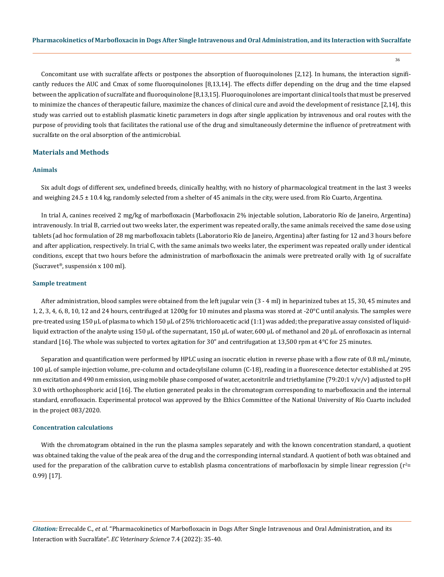36

Concomitant use with sucralfate affects or postpones the absorption of fluoroquinolones [2,12]. In humans, the interaction significantly reduces the AUC and Cmax of some fluoroquinolones [8,13,14]. The effects differ depending on the drug and the time elapsed between the application of sucralfate and fluoroquinolone [8,13,15]. Fluoroquinolones are important clinical tools that must be preserved to minimize the chances of therapeutic failure, maximize the chances of clinical cure and avoid the development of resistance [2,14], this study was carried out to establish plasmatic kinetic parameters in dogs after single application by intravenous and oral routes with the purpose of providing tools that facilitates the rational use of the drug and simultaneously determine the influence of pretreatment with sucralfate on the oral absorption of the antimicrobial.

## **Materials and Methods**

#### **Animals**

Six adult dogs of different sex, undefined breeds, clinically healthy, with no history of pharmacological treatment in the last 3 weeks and weighing 24.5 ± 10.4 kg, randomly selected from a shelter of 45 animals in the city, were used. from Río Cuarto, Argentina.

In trial A, canines received 2 mg/kg of marbofloxacin (Marbofloxacin 2% injectable solution, Laboratorio Río de Janeiro, Argentina) intravenously. In trial B, carried out two weeks later, the experiment was repeated orally, the same animals received the same dose using tablets (ad hoc formulation of 28 mg marbofloxacin tablets (Laboratorio Río de Janeiro, Argentina) after fasting for 12 and 3 hours before and after application, respectively. In trial C, with the same animals two weeks later, the experiment was repeated orally under identical conditions, except that two hours before the administration of marbofloxacin the animals were pretreated orally with 1g of sucralfate (Sucravet®, suspensión x 100 ml).

#### **Sample treatment**

After administration, blood samples were obtained from the left jugular vein (3 - 4 ml) in heparinized tubes at 15, 30, 45 minutes and 1, 2, 3, 4, 6, 8, 10, 12 and 24 hours, centrifuged at 1200g for 10 minutes and plasma was stored at -20°C until analysis. The samples were pre-treated using 150 µL of plasma to which 150 µL of 25% trichloroacetic acid (1:1) was added; the preparative assay consisted of liquidliquid extraction of the analyte using 150 µL of the supernatant, 150 µL of water, 600 µL of methanol and 20 µL of enrofloxacin as internal standard [16]. The whole was subjected to vortex agitation for 30" and centrifugation at 13,500 rpm at  $4^{\circ}$ C for 25 minutes.

Separation and quantification were performed by HPLC using an isocratic elution in reverse phase with a flow rate of 0.8 mL/minute, 100 µL of sample injection volume, pre-column and octadecylsilane column (C-18), reading in a fluorescence detector established at 295 nm excitation and 490 nm emission, using mobile phase composed of water, acetonitrile and triethylamine (79:20:1 v/v/v) adjusted to pH 3.0 with orthophosphoric acid [16]. The elution generated peaks in the chromatogram corresponding to marbofloxacin and the internal standard, enrofloxacin. Experimental protocol was approved by the Ethics Committee of the National University of Río Cuarto included in the project 083/2020.

#### **Concentration calculations**

With the chromatogram obtained in the run the plasma samples separately and with the known concentration standard, a quotient was obtained taking the value of the peak area of the drug and the corresponding internal standard. A quotient of both was obtained and used for the preparation of the calibration curve to establish plasma concentrations of marbofloxacin by simple linear regression (r $e^2$ = 0.99) [17].

*Citation:* Errecalde C., *et al.* "Pharmacokinetics of Marbofloxacin in Dogs After Single Intravenous and Oral Administration, and its Interaction with Sucralfate". *EC Veterinary Science* 7.4 (2022): 35-40.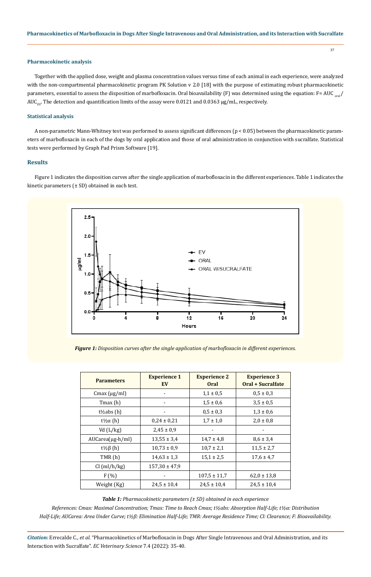# **Pharmacokinetic analysis**

Together with the applied dose, weight and plasma concentration values versus time of each animal in each experience, were analyzed with the non-compartmental pharmacokinetic program PK Solution v 2.0 [18] with the purpose of estimating robust pharmacokinetic parameters, essential to assess the disposition of marbofloxacin. Oral bioavailability (F) was determined using the equation: F= AUC  $_{\text{oral}}/$ AUC<sub>FV</sub>. The detection and quantification limits of the assay were 0.0121 and 0.0363  $\mu$ g/mL, respectively.

# **Statistical analysis**

A non-parametric Mann-Whitney test was performed to assess significant differences (p < 0.05) between the pharmacokinetic parameters of marbofloxacin in each of the dogs by oral application and those of oral administration in conjunction with sucralfate. Statistical tests were performed by Graph Pad Prism Software [19].

## **Results**

Figure 1 indicates the disposition curves after the single application of marbofloxacin in the different experiences. Table 1 indicates the kinetic parameters  $(\pm SD)$  obtained in each test.



*Figure 1: Disposition curves after the single application of marbofloxacin in different experiences.*

| <b>Parameters</b>      | <b>Experience 1</b><br>EV | <b>Experience 2</b><br><b>Oral</b> | <b>Experience 3</b><br>Oral + Sucralfate |
|------------------------|---------------------------|------------------------------------|------------------------------------------|
| Cmax $(\mu g/ml)$      |                           | $1,1 \pm 0,5$                      | $0.5 \pm 0.3$                            |
| Tmax (h)               |                           | $1,5 \pm 0,6$                      | $3,5 \pm 0.5$                            |
| $t\frac{1}{2}$ abs (h) |                           | $0,5 \pm 0,3$                      | $1,3 \pm 0,6$                            |
| t½α (h)                | $0.24 \pm 0.21$           | $1.7 \pm 1.0$                      | $2.0 \pm 0.8$                            |
| Vd $(L/kg)$            | $2,45 \pm 0.9$            |                                    |                                          |
| $AUCarea(µg-h/ml)$     | $13,55 \pm 3,4$           | $14,7 \pm 4,8$                     | $8,6 \pm 3,4$                            |
| t½β(h)                 | $10,73 \pm 0.9$           | $10,7 \pm 2,1$                     | $11,5 \pm 2,7$                           |
| TMR(h)                 | $14,63 \pm 1,3$           | $15.1 \pm 2.5$                     | $17.6 \pm 4.7$                           |
| Cl (ml/h/kg)           | $157,30 \pm 47,9$         |                                    |                                          |
| F(%)                   |                           | $107.5 \pm 11.7$                   | $62.0 \pm 13.8$                          |
| Weight (Kg)            | $24.5 \pm 10.4$           | $24.5 \pm 10.4$                    | $24.5 \pm 10.4$                          |

*Table 1: Pharmacokinetic parameters (± SD) obtained in each experience*

*References: Cmax: Maximal Concentration; Tmax: Time to Reach Cmax; t½abs: Absorption Half-Life; t½α: Distribution Half-Life; AUCarea: Area Under Curve; t½β: Elimination Half-Life; TMR: Average Residence Time; Cl: Clearance; F: Bioavailability.*

*Citation:* Errecalde C., *et al.* "Pharmacokinetics of Marbofloxacin in Dogs After Single Intravenous and Oral Administration, and its Interaction with Sucralfate". *EC Veterinary Science* 7.4 (2022): 35-40.

37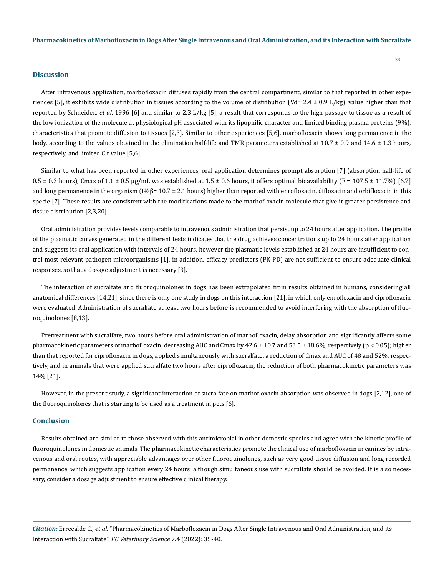#### **Discussion**

After intravenous application, marbofloxacin diffuses rapidly from the central compartment, similar to that reported in other experiences [5], it exhibits wide distribution in tissues according to the volume of distribution (Vd= 2.4  $\pm$  0.9 L/kg), value higher than that reported by Schneider., *et al*. 1996 [6] and similar to 2.3 L/kg [5], a result that corresponds to the high passage to tissue as a result of the low ionization of the molecule at physiological pH associated with its lipophilic character and limited binding plasma proteins (9%), characteristics that promote diffusion to tissues [2,3]. Similar to other experiences [5,6], marbofloxacin shows long permanence in the body, according to the values obtained in the elimination half-life and TMR parameters established at  $10.7 \pm 0.9$  and  $14.6 \pm 1.3$  hours, respectively, and limited Clt value [5,6].

Similar to what has been reported in other experiences, oral application determines prompt absorption [7] (absorption half-life of  $0.5 \pm 0.3$  hours), Cmax of  $1.1 \pm 0.5$  ug/mL was established at  $1.5 \pm 0.6$  hours, it offers optimal bioavailability (F = 107.5  $\pm$  11.7%) [6.7] and long permanence in the organism  $(t\frac{1}{2}\beta=10.7\pm2.1$  hours) higher than reported with enrofloxacin, difloxacin and orbifloxacin in this specie [7]. These results are consistent with the modifications made to the marbofloxacin molecule that give it greater persistence and tissue distribution [2,3,20].

Oral administration provides levels comparable to intravenous administration that persist up to 24 hours after application. The profile of the plasmatic curves generated in the different tests indicates that the drug achieves concentrations up to 24 hours after application and suggests its oral application with intervals of 24 hours, however the plasmatic levels established at 24 hours are insufficient to control most relevant pathogen microorganisms [1], in addition, efficacy predictors (PK-PD) are not sufficient to ensure adequate clinical responses, so that a dosage adjustment is necessary [3].

The interaction of sucralfate and fluoroquinolones in dogs has been extrapolated from results obtained in humans, considering all anatomical differences [14,21], since there is only one study in dogs on this interaction [21], in which only enrofloxacin and ciprofloxacin were evaluated. Administration of sucralfate at least two hours before is recommended to avoid interfering with the absorption of fluoroquinolones [8,13].

Pretreatment with sucralfate, two hours before oral administration of marbofloxacin, delay absorption and significantly affects some pharmacokinetic parameters of marbofloxacin, decreasing AUC and Cmax by 42.6 ± 10.7 and 53.5 ± 18.6%, respectively (p < 0.05); higher than that reported for ciprofloxacin in dogs, applied simultaneously with sucralfate, a reduction of Cmax and AUC of 48 and 52%, respectively, and in animals that were applied sucralfate two hours after ciprofloxacin, the reduction of both pharmacokinetic parameters was 14% [21].

However, in the present study, a significant interaction of sucralfate on marbofloxacin absorption was observed in dogs [2,12], one of the fluoroquinolones that is starting to be used as a treatment in pets [6].

## **Conclusion**

Results obtained are similar to those observed with this antimicrobial in other domestic species and agree with the kinetic profile of fluoroquinolones in domestic animals. The pharmacokinetic characteristics promote the clinical use of marbofloxacin in canines by intravenous and oral routes, with appreciable advantages over other fluoroquinolones, such as very good tissue diffusion and long recorded permanence, which suggests application every 24 hours, although simultaneous use with sucralfate should be avoided. It is also necessary, consider a dosage adjustment to ensure effective clinical therapy.

*Citation:* Errecalde C., *et al.* "Pharmacokinetics of Marbofloxacin in Dogs After Single Intravenous and Oral Administration, and its Interaction with Sucralfate". *EC Veterinary Science* 7.4 (2022): 35-40.

38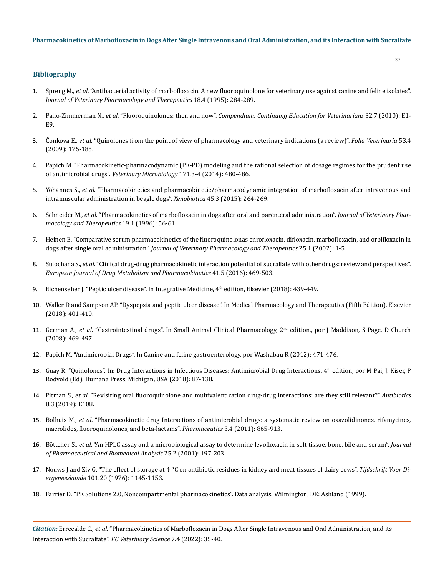39

# **Bibliography**

- 1. Spreng M., *et al*[. "Antibacterial activity of marbofloxacin. A new fluoroquinolone for veterinary use against canine and feline isolates".](https://pubmed.ncbi.nlm.nih.gov/8583541/)  *[Journal of Veterinary Pharmacology and Therapeutics](https://pubmed.ncbi.nlm.nih.gov/8583541/)* 18.4 (1995): 284-289.
- 2. Pallo-Zimmerman N., *et al*. "Fluoroquinolones: then and now". *[Compendium: Continuing Education for Veterinarians](https://pubmed.ncbi.nlm.nih.gov/20957609/)* 32.7 (2010): E1- [E9.](https://pubmed.ncbi.nlm.nih.gov/20957609/)
- 3. Ĉonkova E., *et al*[. "Quinolones from the point of view of pharmacology and veterinary indications \(a review\)".](https://www.semanticscholar.org/paper/Quinolones-from-the-point-of-view-of-pharmacology-%C4%8Conkov%C3%A1-%C4%8Cell%C3%A1rov%C3%A1/8b7c22d5df8f6e67e5ade90e6fb98218ac98d67b) *Folia Veterinaria* 53.4 [\(2009\): 175-185.](https://www.semanticscholar.org/paper/Quinolones-from-the-point-of-view-of-pharmacology-%C4%8Conkov%C3%A1-%C4%8Cell%C3%A1rov%C3%A1/8b7c22d5df8f6e67e5ade90e6fb98218ac98d67b)
- 4. [Papich M. "Pharmacokinetic-pharmacodynamic \(PK-PD\) modeling and the rational selection of dosage regimes for the prudent use](https://pubmed.ncbi.nlm.nih.gov/24513278/)  of antimicrobial drugs". *[Veterinary Microbiology](https://pubmed.ncbi.nlm.nih.gov/24513278/)* 171.3-4 (2014): 480-486.
- 5. Yohannes S., *et al*[. "Pharmacokinetics and pharmacokinetic/pharmacodynamic integration of marbofloxacin after intravenous and](https://pubmed.ncbi.nlm.nih.gov/25470431/)  [intramuscular administration in beagle dogs".](https://pubmed.ncbi.nlm.nih.gov/25470431/) *Xenobiotica* 45.3 (2015): 264-269.
- 6. Schneider M., *et al*[. "Pharmacokinetics of marbofloxacin in dogs after oral and parenteral administration".](https://pubmed.ncbi.nlm.nih.gov/8992027/) *Journal of Veterinary Phar[macology and Therapeutics](https://pubmed.ncbi.nlm.nih.gov/8992027/)* 19.1 (1996): 56-61.
- 7. [Heinen E. "Comparative serum pharmacokinetics of the fluoroquinolonas enrofloxacin, difloxacin, marbofloxacin, and orbifloxacin in](https://pubmed.ncbi.nlm.nih.gov/11874520/)  dogs after single oral administration". *[Journal of Veterinary Pharmacology and Therapeutics](https://pubmed.ncbi.nlm.nih.gov/11874520/)* 25.1 (2002): 1-5.
- 8. Sulochana S., *et al*[. "Clinical drug-drug pharmacokinetic interaction potential of sucralfate with other drugs: review and perspectives".](https://pubmed.ncbi.nlm.nih.gov/27086359/)  *[European Journal of Drug Metabolism and Pharmacokinetics](https://pubmed.ncbi.nlm.nih.gov/27086359/)* 41.5 (2016): 469-503.
- 9. Eichenseher J. "Peptic ulcer disease". In Integrative Medicine, 4<sup>th</sup> edition, Elsevier (2018): 439-449.
- 10. Waller D and Sampson AP. "Dyspepsia and peptic ulcer disease". In Medical Pharmacology and Therapeutics (Fifth Edition). Elsevier (2018): 401-410.
- 11. German A., *et al*. "Gastrointestinal drugs". In Small Animal Clinical Pharmacology, 2nd edition., por J Maddison, S Page, D Church (2008): 469-497.
- 12. Papich M. "Antimicrobial Drugs". In Canine and feline gastroenterology, por Washabau R (2012): 471-476.
- 13. Guay R. "Quinolones". In: Drug Interactions in Infectious Diseases: Antimicrobial Drug Interactions, 4<sup>th</sup> edition, por M Pai, J. Kiser, P Rodvold (Ed). Humana Press, Michigan, USA (2018): 87-138.
- 14. Pitman S., *et al*[. "Revisiting oral fluoroquinolone and multivalent cation drug-drug interactions: are they still relevant?"](https://pubmed.ncbi.nlm.nih.gov/31370320/) *Antibiotics* [8.3 \(2019\): E108.](https://pubmed.ncbi.nlm.nih.gov/31370320/)
- 15. Bolhuis M., *et al*[. "Pharmacokinetic drug Interactions of antimicrobial drugs: a systematic review on oxazolidinones, rifamycines,](https://pubmed.ncbi.nlm.nih.gov/24309312/)  [macrolides, fluoroquinolones, and beta-lactams".](https://pubmed.ncbi.nlm.nih.gov/24309312/) *Pharmaceutics* 3.4 (2011): 865-913.
- 16. Böttcher S., *et al*[. "An HPLC assay and a microbiological assay to determine levofloxacin in soft tissue, bone, bile and serum".](https://pubmed.ncbi.nlm.nih.gov/11275428/) *Journal [of Pharmaceutical and Biomedical Analysis](https://pubmed.ncbi.nlm.nih.gov/11275428/)* 25.2 (2001): 197-203.
- 17. [Nouws J and Ziv G. "The effect of storage at 4 ºC on antibiotic residues in kidney and meat tissues of dairy cows".](https://pubmed.ncbi.nlm.nih.gov/1013973/) *Tijdschrift Voor Diergeneeskunde* [101.20 \(1976\): 1145-1153.](https://pubmed.ncbi.nlm.nih.gov/1013973/)
- 18. Farrier D. "PK Solutions 2.0, Noncompartmental pharmacokinetics". Data analysis. Wilmington, DE: Ashland (1999).

*Citation:* Errecalde C., *et al.* "Pharmacokinetics of Marbofloxacin in Dogs After Single Intravenous and Oral Administration, and its Interaction with Sucralfate". *EC Veterinary Science* 7.4 (2022): 35-40.